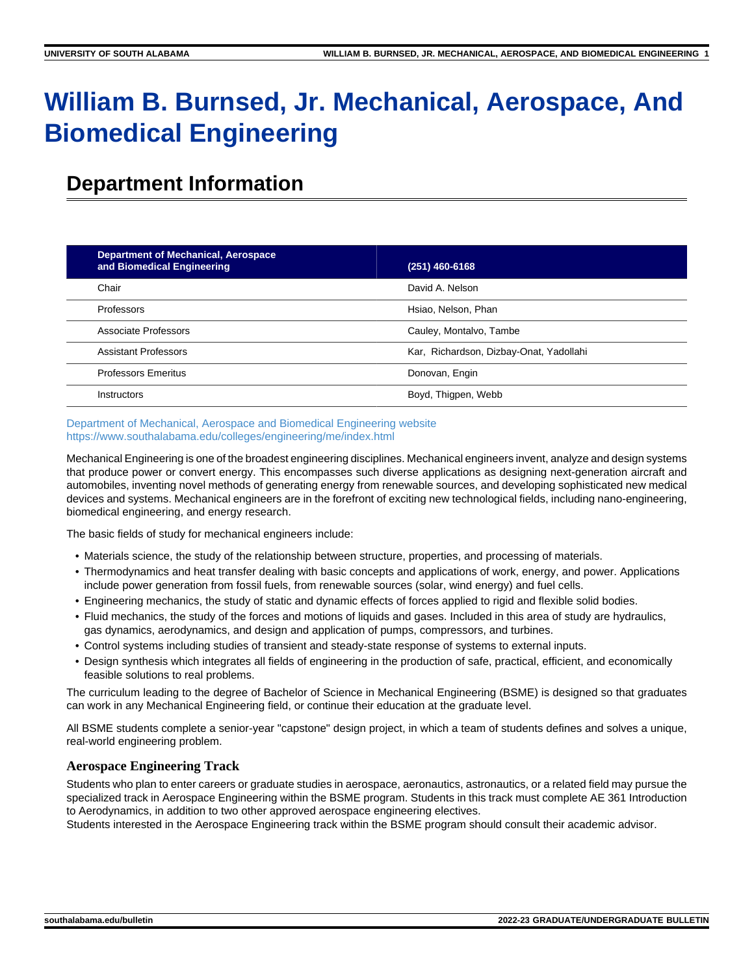# **William B. Burnsed, Jr. Mechanical, Aerospace, And Biomedical Engineering**

## **Department Information**

| <b>Department of Mechanical, Aerospace</b><br>and Biomedical Engineering | (251) 460-6168                          |
|--------------------------------------------------------------------------|-----------------------------------------|
| Chair                                                                    | David A. Nelson                         |
| Professors                                                               | Hsiao, Nelson, Phan                     |
| Associate Professors                                                     | Cauley, Montalvo, Tambe                 |
| <b>Assistant Professors</b>                                              | Kar, Richardson, Dizbay-Onat, Yadollahi |
| <b>Professors Emeritus</b>                                               | Donovan, Engin                          |
| Instructors                                                              | Boyd, Thigpen, Webb                     |

[Department of Mechanical, Aerospace and Biomedical Engineering website](https://www.southalabama.edu/colleges/engineering/me/index.html) <https://www.southalabama.edu/colleges/engineering/me/index.html>

Mechanical Engineering is one of the broadest engineering disciplines. Mechanical engineers invent, analyze and design systems that produce power or convert energy. This encompasses such diverse applications as designing next-generation aircraft and automobiles, inventing novel methods of generating energy from renewable sources, and developing sophisticated new medical devices and systems. Mechanical engineers are in the forefront of exciting new technological fields, including nano-engineering, biomedical engineering, and energy research.

The basic fields of study for mechanical engineers include:

- Materials science, the study of the relationship between structure, properties, and processing of materials.
- Thermodynamics and heat transfer dealing with basic concepts and applications of work, energy, and power. Applications include power generation from fossil fuels, from renewable sources (solar, wind energy) and fuel cells.
- Engineering mechanics, the study of static and dynamic effects of forces applied to rigid and flexible solid bodies.
- Fluid mechanics, the study of the forces and motions of liquids and gases. Included in this area of study are hydraulics, gas dynamics, aerodynamics, and design and application of pumps, compressors, and turbines.
- Control systems including studies of transient and steady-state response of systems to external inputs.
- Design synthesis which integrates all fields of engineering in the production of safe, practical, efficient, and economically feasible solutions to real problems.

The curriculum leading to the degree of Bachelor of Science in Mechanical Engineering (BSME) is designed so that graduates can work in any Mechanical Engineering field, or continue their education at the graduate level.

All BSME students complete a senior-year "capstone" design project, in which a team of students defines and solves a unique, real-world engineering problem.

#### **Aerospace Engineering Track**

Students who plan to enter careers or graduate studies in aerospace, aeronautics, astronautics, or a related field may pursue the specialized track in Aerospace Engineering within the BSME program. Students in this track must complete AE 361 Introduction to Aerodynamics, in addition to two other approved aerospace engineering electives.

Students interested in the Aerospace Engineering track within the BSME program should consult their academic advisor.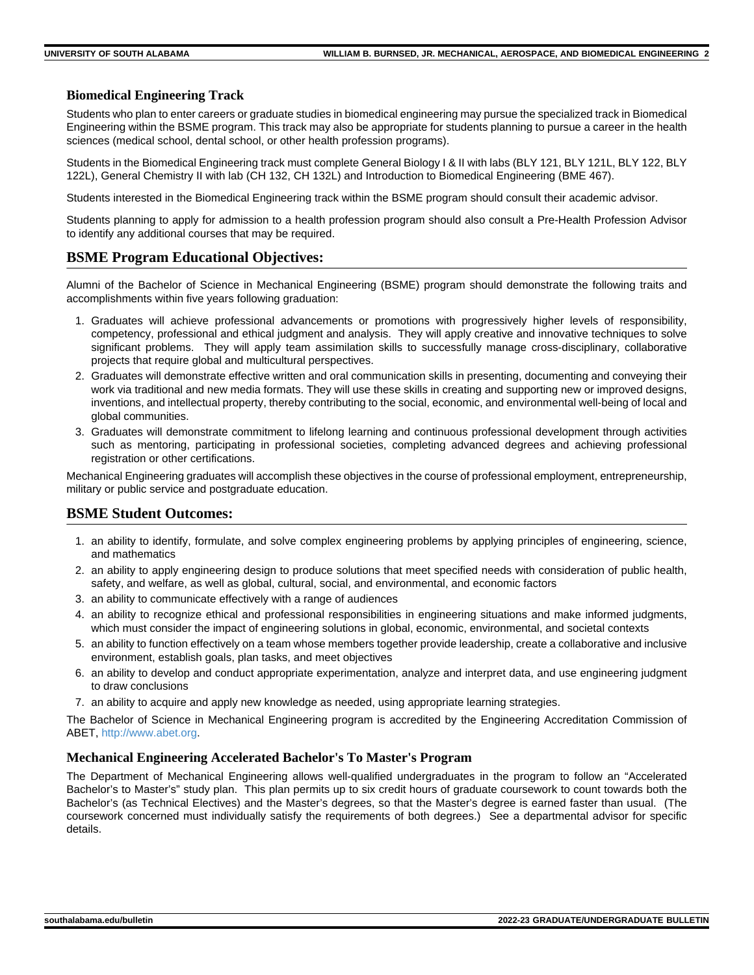#### **Biomedical Engineering Track**

Students who plan to enter careers or graduate studies in biomedical engineering may pursue the specialized track in Biomedical Engineering within the BSME program. This track may also be appropriate for students planning to pursue a career in the health sciences (medical school, dental school, or other health profession programs).

Students in the Biomedical Engineering track must complete General Biology I & II with labs (BLY 121, BLY 121L, BLY 122, BLY 122L), General Chemistry II with lab (CH 132, CH 132L) and Introduction to Biomedical Engineering (BME 467).

Students interested in the Biomedical Engineering track within the BSME program should consult their academic advisor.

Students planning to apply for admission to a health profession program should also consult a Pre-Health Profession Advisor to identify any additional courses that may be required.

## **BSME Program Educational Objectives:**

Alumni of the Bachelor of Science in Mechanical Engineering (BSME) program should demonstrate the following traits and accomplishments within five years following graduation:

- 1. Graduates will achieve professional advancements or promotions with progressively higher levels of responsibility, competency, professional and ethical judgment and analysis. They will apply creative and innovative techniques to solve significant problems. They will apply team assimilation skills to successfully manage cross-disciplinary, collaborative projects that require global and multicultural perspectives.
- 2. Graduates will demonstrate effective written and oral communication skills in presenting, documenting and conveying their work via traditional and new media formats. They will use these skills in creating and supporting new or improved designs, inventions, and intellectual property, thereby contributing to the social, economic, and environmental well-being of local and global communities.
- 3. Graduates will demonstrate commitment to lifelong learning and continuous professional development through activities such as mentoring, participating in professional societies, completing advanced degrees and achieving professional registration or other certifications.

Mechanical Engineering graduates will accomplish these objectives in the course of professional employment, entrepreneurship, military or public service and postgraduate education.

#### **BSME Student Outcomes:**

- 1. an ability to identify, formulate, and solve complex engineering problems by applying principles of engineering, science, and mathematics
- 2. an ability to apply engineering design to produce solutions that meet specified needs with consideration of public health, safety, and welfare, as well as global, cultural, social, and environmental, and economic factors
- 3. an ability to communicate effectively with a range of audiences
- 4. an ability to recognize ethical and professional responsibilities in engineering situations and make informed judgments, which must consider the impact of engineering solutions in global, economic, environmental, and societal contexts
- 5. an ability to function effectively on a team whose members together provide leadership, create a collaborative and inclusive environment, establish goals, plan tasks, and meet objectives
- 6. an ability to develop and conduct appropriate experimentation, analyze and interpret data, and use engineering judgment to draw conclusions
- 7. an ability to acquire and apply new knowledge as needed, using appropriate learning strategies.

The Bachelor of Science in Mechanical Engineering program is accredited by the Engineering Accreditation Commission of ABET, <http://www.abet.org>.

#### **Mechanical Engineering Accelerated Bachelor's To Master's Program**

The Department of Mechanical Engineering allows well-qualified undergraduates in the program to follow an "Accelerated Bachelor's to Master's" study plan. This plan permits up to six credit hours of graduate coursework to count towards both the Bachelor's (as Technical Electives) and the Master's degrees, so that the Master's degree is earned faster than usual. (The coursework concerned must individually satisfy the requirements of both degrees.) See a departmental advisor for specific details.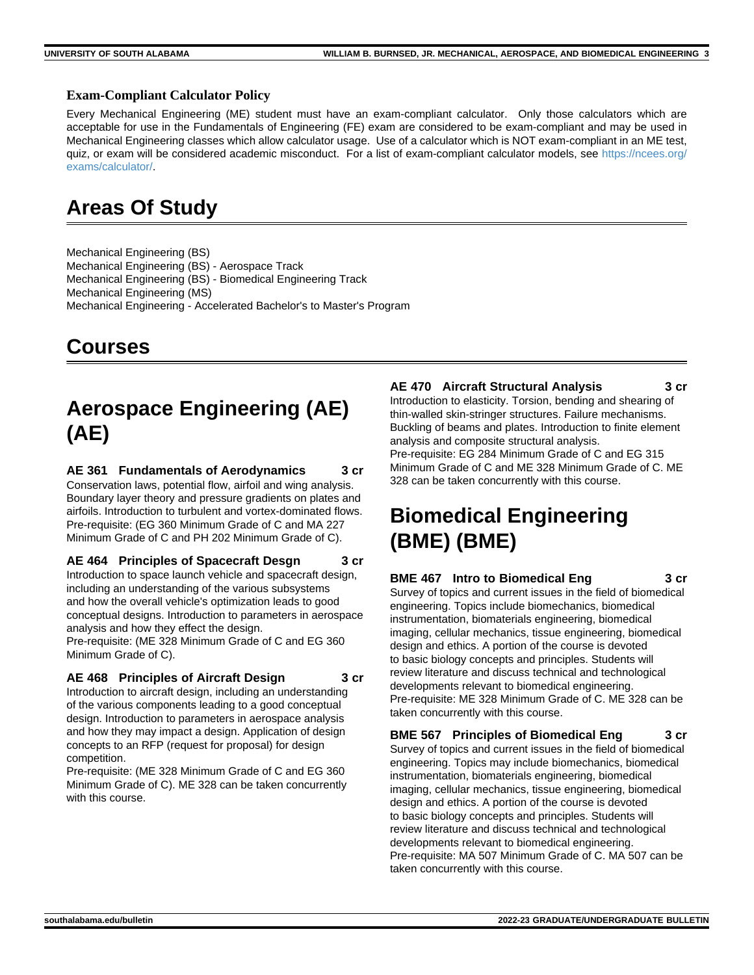## **Exam-Compliant Calculator Policy**

Every Mechanical Engineering (ME) student must have an exam-compliant calculator. Only those calculators which are acceptable for use in the Fundamentals of Engineering (FE) exam are considered to be exam-compliant and may be used in Mechanical Engineering classes which allow calculator usage. Use of a calculator which is NOT exam-compliant in an ME test, quiz, or exam will be considered academic misconduct. For a list of exam-compliant calculator models, see [https://ncees.org/](https://ncees.org/exams/calculator/) [exams/calculator/](https://ncees.org/exams/calculator/).

## **Areas Of Study**

Mechanical Engineering (BS) Mechanical Engineering (BS) - Aerospace Track Mechanical Engineering (BS) - Biomedical Engineering Track Mechanical Engineering (MS) Mechanical Engineering - Accelerated Bachelor's to Master's Program

## **Courses**

# **Aerospace Engineering (AE) (AE)**

**AE 361 Fundamentals of Aerodynamics 3 cr** Conservation laws, potential flow, airfoil and wing analysis. Boundary layer theory and pressure gradients on plates and airfoils. Introduction to turbulent and vortex-dominated flows. Pre-requisite: (EG 360 Minimum Grade of C and MA 227 Minimum Grade of C and PH 202 Minimum Grade of C).

**AE 464 Principles of Spacecraft Desgn 3 cr** Introduction to space launch vehicle and spacecraft design, including an understanding of the various subsystems and how the overall vehicle's optimization leads to good conceptual designs. Introduction to parameters in aerospace analysis and how they effect the design.

Pre-requisite: (ME 328 Minimum Grade of C and EG 360 Minimum Grade of C).

## **AE 468 Principles of Aircraft Design 3 cr**

Introduction to aircraft design, including an understanding of the various components leading to a good conceptual design. Introduction to parameters in aerospace analysis and how they may impact a design. Application of design concepts to an RFP (request for proposal) for design competition.

Pre-requisite: (ME 328 Minimum Grade of C and EG 360 Minimum Grade of C). ME 328 can be taken concurrently with this course.

#### **AE 470 Aircraft Structural Analysis 3 cr**

Introduction to elasticity. Torsion, bending and shearing of thin-walled skin-stringer structures. Failure mechanisms. Buckling of beams and plates. Introduction to finite element analysis and composite structural analysis. Pre-requisite: EG 284 Minimum Grade of C and EG 315 Minimum Grade of C and ME 328 Minimum Grade of C. ME 328 can be taken concurrently with this course.

# **Biomedical Engineering (BME) (BME)**

## **BME 467 Intro to Biomedical Eng 3 cr** Survey of topics and current issues in the field of biomedical

engineering. Topics include biomechanics, biomedical instrumentation, biomaterials engineering, biomedical imaging, cellular mechanics, tissue engineering, biomedical design and ethics. A portion of the course is devoted to basic biology concepts and principles. Students will review literature and discuss technical and technological developments relevant to biomedical engineering. Pre-requisite: ME 328 Minimum Grade of C. ME 328 can be taken concurrently with this course.

**BME 567 Principles of Biomedical Eng 3 cr** Survey of topics and current issues in the field of biomedical engineering. Topics may include biomechanics, biomedical instrumentation, biomaterials engineering, biomedical imaging, cellular mechanics, tissue engineering, biomedical design and ethics. A portion of the course is devoted to basic biology concepts and principles. Students will review literature and discuss technical and technological developments relevant to biomedical engineering. Pre-requisite: MA 507 Minimum Grade of C. MA 507 can be taken concurrently with this course.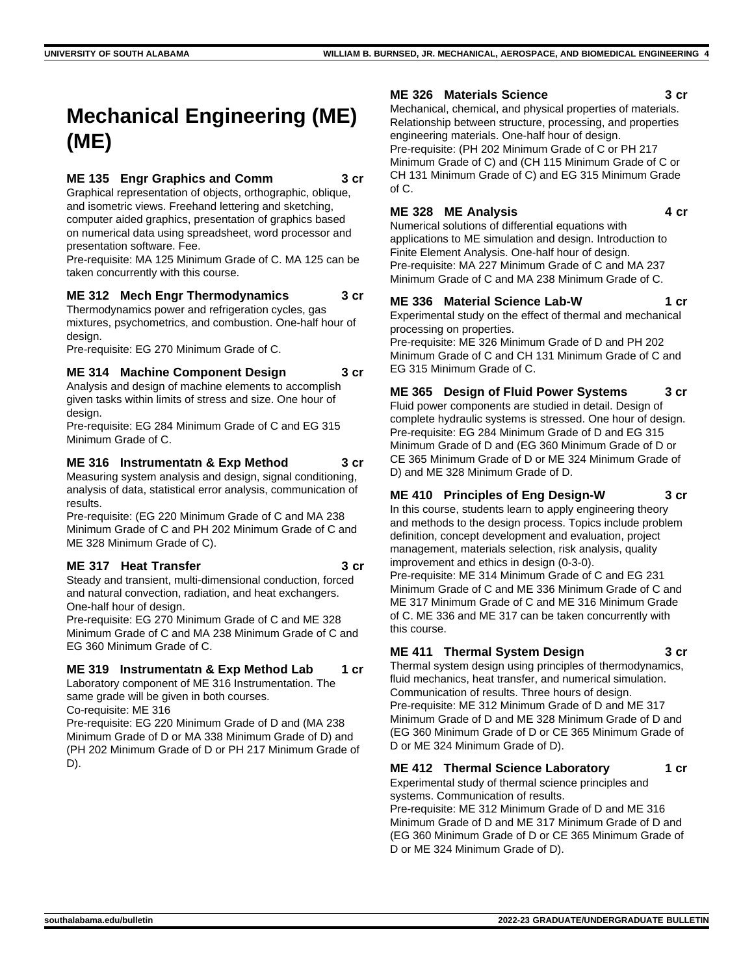# **Mechanical Engineering (ME) (ME)**

#### **ME 135 Engr Graphics and Comm 3 cr**

Graphical representation of objects, orthographic, oblique, and isometric views. Freehand lettering and sketching, computer aided graphics, presentation of graphics based on numerical data using spreadsheet, word processor and presentation software. Fee.

Pre-requisite: MA 125 Minimum Grade of C. MA 125 can be taken concurrently with this course.

#### **ME 312 Mech Engr Thermodynamics 3 cr**

Thermodynamics power and refrigeration cycles, gas mixtures, psychometrics, and combustion. One-half hour of design.

Pre-requisite: EG 270 Minimum Grade of C.

#### **ME 314 Machine Component Design 3 cr**

Analysis and design of machine elements to accomplish given tasks within limits of stress and size. One hour of design.

Pre-requisite: EG 284 Minimum Grade of C and EG 315 Minimum Grade of C.

#### **ME 316 Instrumentatn & Exp Method 3 cr**

Measuring system analysis and design, signal conditioning, analysis of data, statistical error analysis, communication of results.

Pre-requisite: (EG 220 Minimum Grade of C and MA 238 Minimum Grade of C and PH 202 Minimum Grade of C and ME 328 Minimum Grade of C).

#### **ME 317 Heat Transfer 3 cr**

Steady and transient, multi-dimensional conduction, forced and natural convection, radiation, and heat exchangers. One-half hour of design.

Pre-requisite: EG 270 Minimum Grade of C and ME 328 Minimum Grade of C and MA 238 Minimum Grade of C and EG 360 Minimum Grade of C.

#### **ME 319 Instrumentatn & Exp Method Lab 1 cr**

Laboratory component of ME 316 Instrumentation. The same grade will be given in both courses.

Co-requisite: ME 316

Pre-requisite: EG 220 Minimum Grade of D and (MA 238 Minimum Grade of D or MA 338 Minimum Grade of D) and (PH 202 Minimum Grade of D or PH 217 Minimum Grade of D).

#### **ME 326 Materials Science 3 cr**

Mechanical, chemical, and physical properties of materials. Relationship between structure, processing, and properties engineering materials. One-half hour of design. Pre-requisite: (PH 202 Minimum Grade of C or PH 217 Minimum Grade of C) and (CH 115 Minimum Grade of C or CH 131 Minimum Grade of C) and EG 315 Minimum Grade of C.

#### **ME 328 ME Analysis 4 cr**

Numerical solutions of differential equations with applications to ME simulation and design. Introduction to Finite Element Analysis. One-half hour of design. Pre-requisite: MA 227 Minimum Grade of C and MA 237 Minimum Grade of C and MA 238 Minimum Grade of C.

#### **ME 336 Material Science Lab-W 1 cr**

Experimental study on the effect of thermal and mechanical processing on properties.

Pre-requisite: ME 326 Minimum Grade of D and PH 202 Minimum Grade of C and CH 131 Minimum Grade of C and EG 315 Minimum Grade of C.

## **ME 365 Design of Fluid Power Systems 3 cr**

Fluid power components are studied in detail. Design of complete hydraulic systems is stressed. One hour of design. Pre-requisite: EG 284 Minimum Grade of D and EG 315 Minimum Grade of D and (EG 360 Minimum Grade of D or CE 365 Minimum Grade of D or ME 324 Minimum Grade of D) and ME 328 Minimum Grade of D.

## **ME 410 Principles of Eng Design-W 3 cr**

In this course, students learn to apply engineering theory and methods to the design process. Topics include problem definition, concept development and evaluation, project management, materials selection, risk analysis, quality improvement and ethics in design (0-3-0). Pre-requisite: ME 314 Minimum Grade of C and EG 231 Minimum Grade of C and ME 336 Minimum Grade of C and ME 317 Minimum Grade of C and ME 316 Minimum Grade of C. ME 336 and ME 317 can be taken concurrently with this course.

## **ME 411 Thermal System Design 3 cr**

Thermal system design using principles of thermodynamics, fluid mechanics, heat transfer, and numerical simulation. Communication of results. Three hours of design. Pre-requisite: ME 312 Minimum Grade of D and ME 317 Minimum Grade of D and ME 328 Minimum Grade of D and (EG 360 Minimum Grade of D or CE 365 Minimum Grade of D or ME 324 Minimum Grade of D).

## **ME 412 Thermal Science Laboratory 1 cr**

Experimental study of thermal science principles and systems. Communication of results.

Pre-requisite: ME 312 Minimum Grade of D and ME 316 Minimum Grade of D and ME 317 Minimum Grade of D and (EG 360 Minimum Grade of D or CE 365 Minimum Grade of D or ME 324 Minimum Grade of D).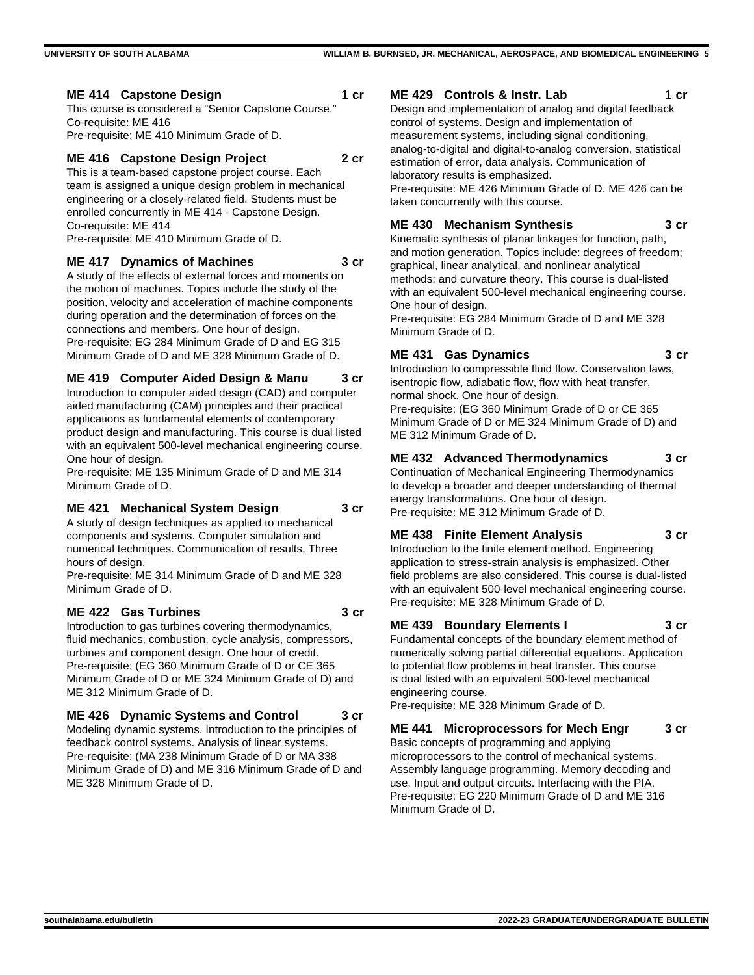#### **ME 414 Capstone Design 1 cr**

This course is considered a "Senior Capstone Course." Co-requisite: ME 416 Pre-requisite: ME 410 Minimum Grade of D.

#### **ME 416 Capstone Design Project 2 cr**

This is a team-based capstone project course. Each team is assigned a unique design problem in mechanical engineering or a closely-related field. Students must be enrolled concurrently in ME 414 - Capstone Design. Co-requisite: ME 414

Pre-requisite: ME 410 Minimum Grade of D.

#### **ME 417 Dynamics of Machines 3 cr**

A study of the effects of external forces and moments on the motion of machines. Topics include the study of the position, velocity and acceleration of machine components during operation and the determination of forces on the connections and members. One hour of design. Pre-requisite: EG 284 Minimum Grade of D and EG 315 Minimum Grade of D and ME 328 Minimum Grade of D.

**ME 419 Computer Aided Design & Manu 3 cr**

Introduction to computer aided design (CAD) and computer aided manufacturing (CAM) principles and their practical applications as fundamental elements of contemporary product design and manufacturing. This course is dual listed with an equivalent 500-level mechanical engineering course. One hour of design.

Pre-requisite: ME 135 Minimum Grade of D and ME 314 Minimum Grade of D.

## **ME 421 Mechanical System Design 3 cr**

A study of design techniques as applied to mechanical components and systems. Computer simulation and numerical techniques. Communication of results. Three hours of design.

Pre-requisite: ME 314 Minimum Grade of D and ME 328 Minimum Grade of D.

#### **ME 422 Gas Turbines 3 cr**

Introduction to gas turbines covering thermodynamics, fluid mechanics, combustion, cycle analysis, compressors, turbines and component design. One hour of credit. Pre-requisite: (EG 360 Minimum Grade of D or CE 365 Minimum Grade of D or ME 324 Minimum Grade of D) and ME 312 Minimum Grade of D.

## **ME 426 Dynamic Systems and Control 3 cr**

Modeling dynamic systems. Introduction to the principles of feedback control systems. Analysis of linear systems. Pre-requisite: (MA 238 Minimum Grade of D or MA 338 Minimum Grade of D) and ME 316 Minimum Grade of D and ME 328 Minimum Grade of D.

**ME 429 Controls & Instr. Lab 1 cr**

Design and implementation of analog and digital feedback control of systems. Design and implementation of measurement systems, including signal conditioning, analog-to-digital and digital-to-analog conversion, statistical estimation of error, data analysis. Communication of laboratory results is emphasized.

Pre-requisite: ME 426 Minimum Grade of D. ME 426 can be taken concurrently with this course.

#### **ME 430 Mechanism Synthesis 3 cr**

Kinematic synthesis of planar linkages for function, path, and motion generation. Topics include: degrees of freedom; graphical, linear analytical, and nonlinear analytical methods; and curvature theory. This course is dual-listed with an equivalent 500-level mechanical engineering course. One hour of design.

Pre-requisite: EG 284 Minimum Grade of D and ME 328 Minimum Grade of D.

#### **ME 431 Gas Dynamics 3 cr**

Introduction to compressible fluid flow. Conservation laws, isentropic flow, adiabatic flow, flow with heat transfer, normal shock. One hour of design. Pre-requisite: (EG 360 Minimum Grade of D or CE 365 Minimum Grade of D or ME 324 Minimum Grade of D) and ME 312 Minimum Grade of D.

## **ME 432 Advanced Thermodynamics 3 cr**

Continuation of Mechanical Engineering Thermodynamics to develop a broader and deeper understanding of thermal energy transformations. One hour of design. Pre-requisite: ME 312 Minimum Grade of D.

## **ME 438 Finite Element Analysis 3 cr**

Introduction to the finite element method. Engineering application to stress-strain analysis is emphasized. Other field problems are also considered. This course is dual-listed with an equivalent 500-level mechanical engineering course. Pre-requisite: ME 328 Minimum Grade of D.

## **ME 439 Boundary Elements I 3 cr**

Fundamental concepts of the boundary element method of numerically solving partial differential equations. Application to potential flow problems in heat transfer. This course is dual listed with an equivalent 500-level mechanical engineering course.

Pre-requisite: ME 328 Minimum Grade of D.

## **ME 441 Microprocessors for Mech Engr 3 cr**

Basic concepts of programming and applying microprocessors to the control of mechanical systems. Assembly language programming. Memory decoding and use. Input and output circuits. Interfacing with the PIA. Pre-requisite: EG 220 Minimum Grade of D and ME 316 Minimum Grade of D.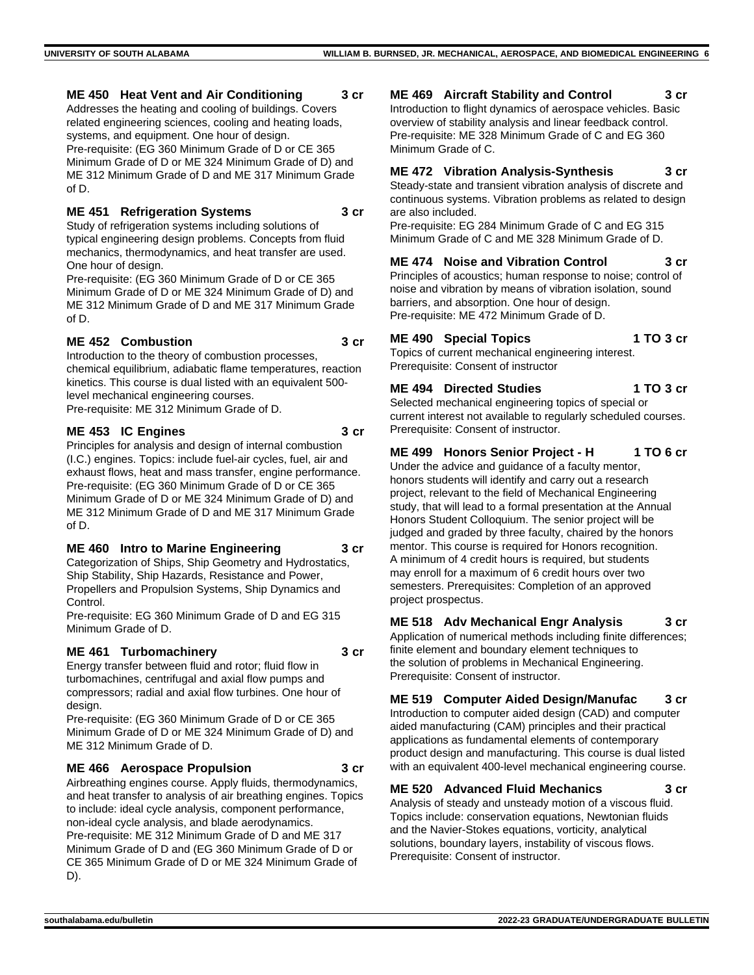#### **ME 450 Heat Vent and Air Conditioning 3 cr**

Addresses the heating and cooling of buildings. Covers related engineering sciences, cooling and heating loads, systems, and equipment. One hour of design. Pre-requisite: (EG 360 Minimum Grade of D or CE 365 Minimum Grade of D or ME 324 Minimum Grade of D) and ME 312 Minimum Grade of D and ME 317 Minimum Grade of D.

#### **ME 451 Refrigeration Systems 3 cr**

Study of refrigeration systems including solutions of typical engineering design problems. Concepts from fluid mechanics, thermodynamics, and heat transfer are used. One hour of design.

Pre-requisite: (EG 360 Minimum Grade of D or CE 365 Minimum Grade of D or ME 324 Minimum Grade of D) and ME 312 Minimum Grade of D and ME 317 Minimum Grade of D.

#### **ME 452 Combustion 3 cr**

Introduction to the theory of combustion processes, chemical equilibrium, adiabatic flame temperatures, reaction kinetics. This course is dual listed with an equivalent 500 level mechanical engineering courses.

Pre-requisite: ME 312 Minimum Grade of D.

#### **ME 453 IC Engines 3 cr**

Principles for analysis and design of internal combustion (I.C.) engines. Topics: include fuel-air cycles, fuel, air and exhaust flows, heat and mass transfer, engine performance. Pre-requisite: (EG 360 Minimum Grade of D or CE 365 Minimum Grade of D or ME 324 Minimum Grade of D) and ME 312 Minimum Grade of D and ME 317 Minimum Grade of D.

## **ME 460 Intro to Marine Engineering 3 cr**

Categorization of Ships, Ship Geometry and Hydrostatics, Ship Stability, Ship Hazards, Resistance and Power, Propellers and Propulsion Systems, Ship Dynamics and Control.

Pre-requisite: EG 360 Minimum Grade of D and EG 315 Minimum Grade of D.

#### **ME 461 Turbomachinery 3 cr**

Energy transfer between fluid and rotor; fluid flow in turbomachines, centrifugal and axial flow pumps and compressors; radial and axial flow turbines. One hour of design.

Pre-requisite: (EG 360 Minimum Grade of D or CE 365 Minimum Grade of D or ME 324 Minimum Grade of D) and ME 312 Minimum Grade of D.

#### **ME 466 Aerospace Propulsion 3 cr**

Airbreathing engines course. Apply fluids, thermodynamics, and heat transfer to analysis of air breathing engines. Topics to include: ideal cycle analysis, component performance, non-ideal cycle analysis, and blade aerodynamics. Pre-requisite: ME 312 Minimum Grade of D and ME 317 Minimum Grade of D and (EG 360 Minimum Grade of D or CE 365 Minimum Grade of D or ME 324 Minimum Grade of D).

## **ME 469 Aircraft Stability and Control 3 cr**

Introduction to flight dynamics of aerospace vehicles. Basic overview of stability analysis and linear feedback control. Pre-requisite: ME 328 Minimum Grade of C and EG 360 Minimum Grade of C.

## **ME 472 Vibration Analysis-Synthesis 3 cr**

Steady-state and transient vibration analysis of discrete and continuous systems. Vibration problems as related to design are also included.

Pre-requisite: EG 284 Minimum Grade of C and EG 315 Minimum Grade of C and ME 328 Minimum Grade of D.

#### **ME 474 Noise and Vibration Control 3 cr**

Principles of acoustics; human response to noise; control of noise and vibration by means of vibration isolation, sound barriers, and absorption. One hour of design. Pre-requisite: ME 472 Minimum Grade of D.

## **ME 490 Special Topics 1 TO 3 cr**

Topics of current mechanical engineering interest. Prerequisite: Consent of instructor

## **ME 494 Directed Studies 1 TO 3 cr**

Selected mechanical engineering topics of special or current interest not available to regularly scheduled courses. Prerequisite: Consent of instructor.

## **ME 499 Honors Senior Project - H 1 TO 6 cr**

Under the advice and guidance of a faculty mentor, honors students will identify and carry out a research project, relevant to the field of Mechanical Engineering study, that will lead to a formal presentation at the Annual Honors Student Colloquium. The senior project will be judged and graded by three faculty, chaired by the honors mentor. This course is required for Honors recognition. A minimum of 4 credit hours is required, but students may enroll for a maximum of 6 credit hours over two semesters. Prerequisites: Completion of an approved project prospectus.

## **ME 518 Adv Mechanical Engr Analysis 3 cr**

Application of numerical methods including finite differences; finite element and boundary element techniques to the solution of problems in Mechanical Engineering. Prerequisite: Consent of instructor.

## **ME 519 Computer Aided Design/Manufac 3 cr**

Introduction to computer aided design (CAD) and computer aided manufacturing (CAM) principles and their practical applications as fundamental elements of contemporary product design and manufacturing. This course is dual listed with an equivalent 400-level mechanical engineering course.

## **ME 520 Advanced Fluid Mechanics 3 cr**

Analysis of steady and unsteady motion of a viscous fluid. Topics include: conservation equations, Newtonian fluids and the Navier-Stokes equations, vorticity, analytical solutions, boundary layers, instability of viscous flows. Prerequisite: Consent of instructor.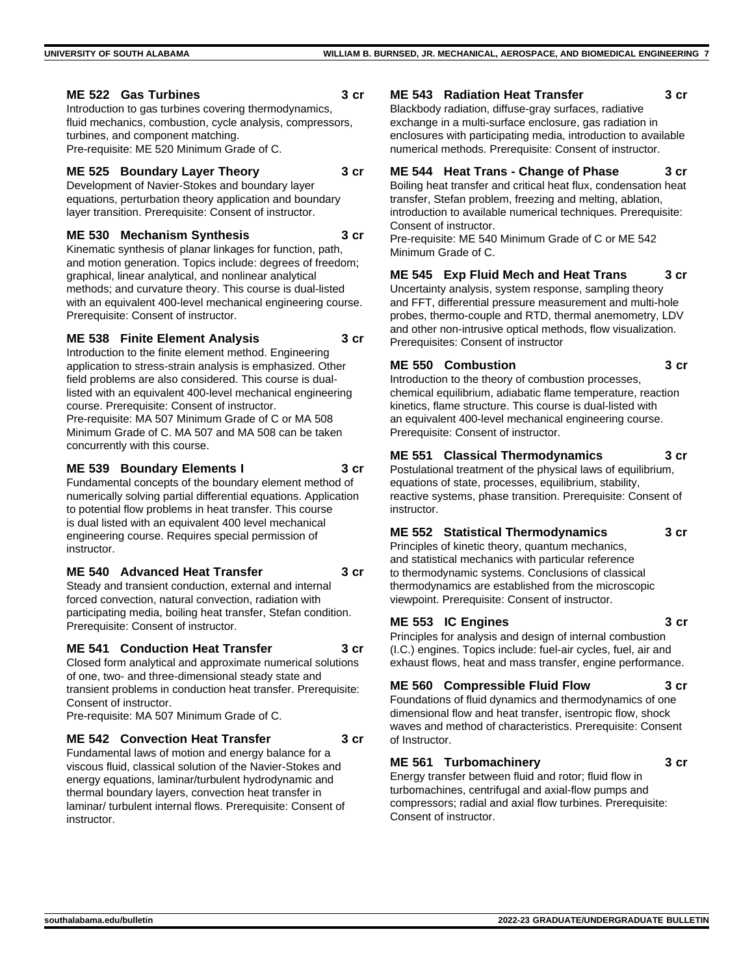#### **ME 522 Gas Turbines 3 cr**

Introduction to gas turbines covering thermodynamics, fluid mechanics, combustion, cycle analysis, compressors, turbines, and component matching. Pre-requisite: ME 520 Minimum Grade of C.

## **ME 525 Boundary Layer Theory 3 cr**

Development of Navier-Stokes and boundary layer equations, perturbation theory application and boundary layer transition. Prerequisite: Consent of instructor.

## **ME 530 Mechanism Synthesis 3 cr**

Kinematic synthesis of planar linkages for function, path, and motion generation. Topics include: degrees of freedom; graphical, linear analytical, and nonlinear analytical methods; and curvature theory. This course is dual-listed with an equivalent 400-level mechanical engineering course. Prerequisite: Consent of instructor.

## **ME 538 Finite Element Analysis 3 cr**

Introduction to the finite element method. Engineering application to stress-strain analysis is emphasized. Other field problems are also considered. This course is duallisted with an equivalent 400-level mechanical engineering course. Prerequisite: Consent of instructor. Pre-requisite: MA 507 Minimum Grade of C or MA 508 Minimum Grade of C. MA 507 and MA 508 can be taken concurrently with this course.

## **ME 539 Boundary Elements I 3 cr**

Fundamental concepts of the boundary element method of numerically solving partial differential equations. Application to potential flow problems in heat transfer. This course is dual listed with an equivalent 400 level mechanical engineering course. Requires special permission of instructor.

#### **ME 540 Advanced Heat Transfer 3 cr**

Steady and transient conduction, external and internal forced convection, natural convection, radiation with participating media, boiling heat transfer, Stefan condition. Prerequisite: Consent of instructor.

## **ME 541 Conduction Heat Transfer 3 cr**

Closed form analytical and approximate numerical solutions of one, two- and three-dimensional steady state and transient problems in conduction heat transfer. Prerequisite: Consent of instructor.

Pre-requisite: MA 507 Minimum Grade of C.

## **ME 542 Convection Heat Transfer 3 cr**

Fundamental laws of motion and energy balance for a viscous fluid, classical solution of the Navier-Stokes and energy equations, laminar/turbulent hydrodynamic and thermal boundary layers, convection heat transfer in laminar/ turbulent internal flows. Prerequisite: Consent of instructor.

#### **ME 543 Radiation Heat Transfer 3 cr**

Blackbody radiation, diffuse-gray surfaces, radiative exchange in a multi-surface enclosure, gas radiation in enclosures with participating media, introduction to available numerical methods. Prerequisite: Consent of instructor.

## **ME 544 Heat Trans - Change of Phase 3 cr**

Boiling heat transfer and critical heat flux, condensation heat transfer, Stefan problem, freezing and melting, ablation, introduction to available numerical techniques. Prerequisite: Consent of instructor.

Pre-requisite: ME 540 Minimum Grade of C or ME 542 Minimum Grade of C.

**ME 545 Exp Fluid Mech and Heat Trans 3 cr** Uncertainty analysis, system response, sampling theory and FFT, differential pressure measurement and multi-hole probes, thermo-couple and RTD, thermal anemometry, LDV and other non-intrusive optical methods, flow visualization. Prerequisites: Consent of instructor

#### **ME 550 Combustion 3 cr**

Introduction to the theory of combustion processes, chemical equilibrium, adiabatic flame temperature, reaction kinetics, flame structure. This course is dual-listed with an equivalent 400-level mechanical engineering course. Prerequisite: Consent of instructor.

## **ME 551 Classical Thermodynamics 3 cr**

Postulational treatment of the physical laws of equilibrium, equations of state, processes, equilibrium, stability, reactive systems, phase transition. Prerequisite: Consent of instructor.

## **ME 552 Statistical Thermodynamics 3 cr**

Principles of kinetic theory, quantum mechanics, and statistical mechanics with particular reference to thermodynamic systems. Conclusions of classical thermodynamics are established from the microscopic viewpoint. Prerequisite: Consent of instructor.

#### **ME 553 IC Engines 3 cr**

Principles for analysis and design of internal combustion (I.C.) engines. Topics include: fuel-air cycles, fuel, air and exhaust flows, heat and mass transfer, engine performance.

## **ME 560 Compressible Fluid Flow 3 cr**

Foundations of fluid dynamics and thermodynamics of one dimensional flow and heat transfer, isentropic flow, shock waves and method of characteristics. Prerequisite: Consent of Instructor.

## **ME 561 Turbomachinery 3 cr**

Energy transfer between fluid and rotor; fluid flow in turbomachines, centrifugal and axial-flow pumps and compressors; radial and axial flow turbines. Prerequisite: Consent of instructor.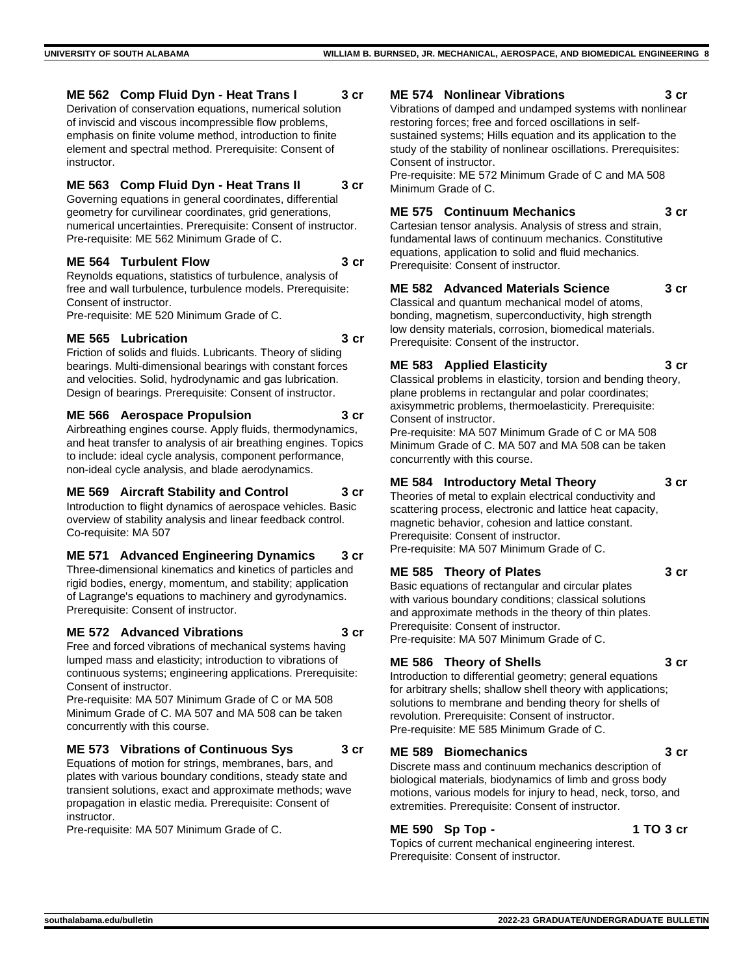#### **ME 562 Comp Fluid Dyn - Heat Trans I 3 cr**

Derivation of conservation equations, numerical solution of inviscid and viscous incompressible flow problems, emphasis on finite volume method, introduction to finite element and spectral method. Prerequisite: Consent of instructor.

#### **ME 563 Comp Fluid Dyn - Heat Trans II 3 cr**

Governing equations in general coordinates, differential geometry for curvilinear coordinates, grid generations, numerical uncertainties. Prerequisite: Consent of instructor. Pre-requisite: ME 562 Minimum Grade of C.

#### **ME 564 Turbulent Flow 3 cr**

Reynolds equations, statistics of turbulence, analysis of free and wall turbulence, turbulence models. Prerequisite: Consent of instructor.

Pre-requisite: ME 520 Minimum Grade of C.

#### **ME 565 Lubrication 3 cr**

Friction of solids and fluids. Lubricants. Theory of sliding bearings. Multi-dimensional bearings with constant forces and velocities. Solid, hydrodynamic and gas lubrication. Design of bearings. Prerequisite: Consent of instructor.

## **ME 566 Aerospace Propulsion 3 cr**

Airbreathing engines course. Apply fluids, thermodynamics, and heat transfer to analysis of air breathing engines. Topics to include: ideal cycle analysis, component performance, non-ideal cycle analysis, and blade aerodynamics.

## **ME 569 Aircraft Stability and Control 3 cr**

Introduction to flight dynamics of aerospace vehicles. Basic overview of stability analysis and linear feedback control. Co-requisite: MA 507

## **ME 571 Advanced Engineering Dynamics 3 cr**

Three-dimensional kinematics and kinetics of particles and rigid bodies, energy, momentum, and stability; application of Lagrange's equations to machinery and gyrodynamics. Prerequisite: Consent of instructor.

## **ME 572 Advanced Vibrations 3 cr**

Free and forced vibrations of mechanical systems having lumped mass and elasticity; introduction to vibrations of continuous systems; engineering applications. Prerequisite: Consent of instructor.

Pre-requisite: MA 507 Minimum Grade of C or MA 508 Minimum Grade of C. MA 507 and MA 508 can be taken concurrently with this course.

## **ME 573 Vibrations of Continuous Sys 3 cr**

Equations of motion for strings, membranes, bars, and plates with various boundary conditions, steady state and transient solutions, exact and approximate methods; wave propagation in elastic media. Prerequisite: Consent of instructor.

Pre-requisite: MA 507 Minimum Grade of C.

## **ME 574 Nonlinear Vibrations 3 cr**

Vibrations of damped and undamped systems with nonlinear restoring forces; free and forced oscillations in selfsustained systems; Hills equation and its application to the study of the stability of nonlinear oscillations. Prerequisites: Consent of instructor.

Pre-requisite: ME 572 Minimum Grade of C and MA 508 Minimum Grade of C.

## **ME 575 Continuum Mechanics 3 cr**

Cartesian tensor analysis. Analysis of stress and strain, fundamental laws of continuum mechanics. Constitutive equations, application to solid and fluid mechanics. Prerequisite: Consent of instructor.

## **ME 582 Advanced Materials Science 3 cr**

Classical and quantum mechanical model of atoms, bonding, magnetism, superconductivity, high strength low density materials, corrosion, biomedical materials. Prerequisite: Consent of the instructor.

## **ME 583 Applied Elasticity 3 cr**

Classical problems in elasticity, torsion and bending theory, plane problems in rectangular and polar coordinates; axisymmetric problems, thermoelasticity. Prerequisite: Consent of instructor.

Pre-requisite: MA 507 Minimum Grade of C or MA 508 Minimum Grade of C. MA 507 and MA 508 can be taken concurrently with this course.

## **ME 584 Introductory Metal Theory 3 cr**

Theories of metal to explain electrical conductivity and scattering process, electronic and lattice heat capacity, magnetic behavior, cohesion and lattice constant. Prerequisite: Consent of instructor. Pre-requisite: MA 507 Minimum Grade of C.

## **ME 585 Theory of Plates 3 cr**

Basic equations of rectangular and circular plates with various boundary conditions; classical solutions and approximate methods in the theory of thin plates. Prerequisite: Consent of instructor. Pre-requisite: MA 507 Minimum Grade of C.

## **ME 586 Theory of Shells 3 cr**

Introduction to differential geometry; general equations for arbitrary shells; shallow shell theory with applications; solutions to membrane and bending theory for shells of revolution. Prerequisite: Consent of instructor.

Pre-requisite: ME 585 Minimum Grade of C.

## **ME 589 Biomechanics 3 cr**

Discrete mass and continuum mechanics description of biological materials, biodynamics of limb and gross body motions, various models for injury to head, neck, torso, and extremities. Prerequisite: Consent of instructor.

## **ME 590 Sp Top - 1 TO 3 cr**

Topics of current mechanical engineering interest. Prerequisite: Consent of instructor.